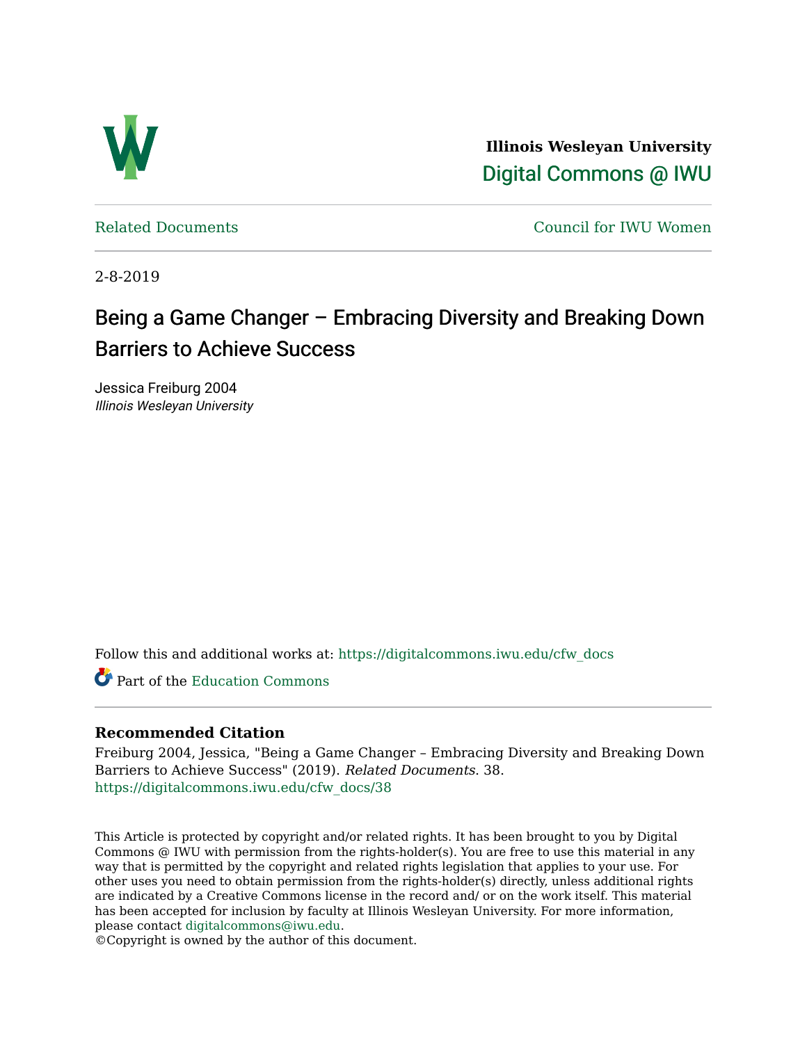

**Illinois Wesleyan University**  [Digital Commons @ IWU](https://digitalcommons.iwu.edu/) 

[Related Documents](https://digitalcommons.iwu.edu/cfw_docs) [Council for IWU Women](https://digitalcommons.iwu.edu/alumni_cfw) 

2-8-2019

## Being a Game Changer – Embracing Diversity and Breaking Down Barriers to Achieve Success

Jessica Freiburg 2004 Illinois Wesleyan University

Follow this and additional works at: [https://digitalcommons.iwu.edu/cfw\\_docs](https://digitalcommons.iwu.edu/cfw_docs?utm_source=digitalcommons.iwu.edu%2Fcfw_docs%2F38&utm_medium=PDF&utm_campaign=PDFCoverPages) 

Part of the [Education Commons](http://network.bepress.com/hgg/discipline/784?utm_source=digitalcommons.iwu.edu%2Fcfw_docs%2F38&utm_medium=PDF&utm_campaign=PDFCoverPages)

## **Recommended Citation**

Freiburg 2004, Jessica, "Being a Game Changer – Embracing Diversity and Breaking Down Barriers to Achieve Success" (2019). Related Documents. 38. [https://digitalcommons.iwu.edu/cfw\\_docs/38](https://digitalcommons.iwu.edu/cfw_docs/38?utm_source=digitalcommons.iwu.edu%2Fcfw_docs%2F38&utm_medium=PDF&utm_campaign=PDFCoverPages)

This Article is protected by copyright and/or related rights. It has been brought to you by Digital Commons @ IWU with permission from the rights-holder(s). You are free to use this material in any way that is permitted by the copyright and related rights legislation that applies to your use. For other uses you need to obtain permission from the rights-holder(s) directly, unless additional rights are indicated by a Creative Commons license in the record and/ or on the work itself. This material has been accepted for inclusion by faculty at Illinois Wesleyan University. For more information, please contact [digitalcommons@iwu.edu.](mailto:digitalcommons@iwu.edu)

©Copyright is owned by the author of this document.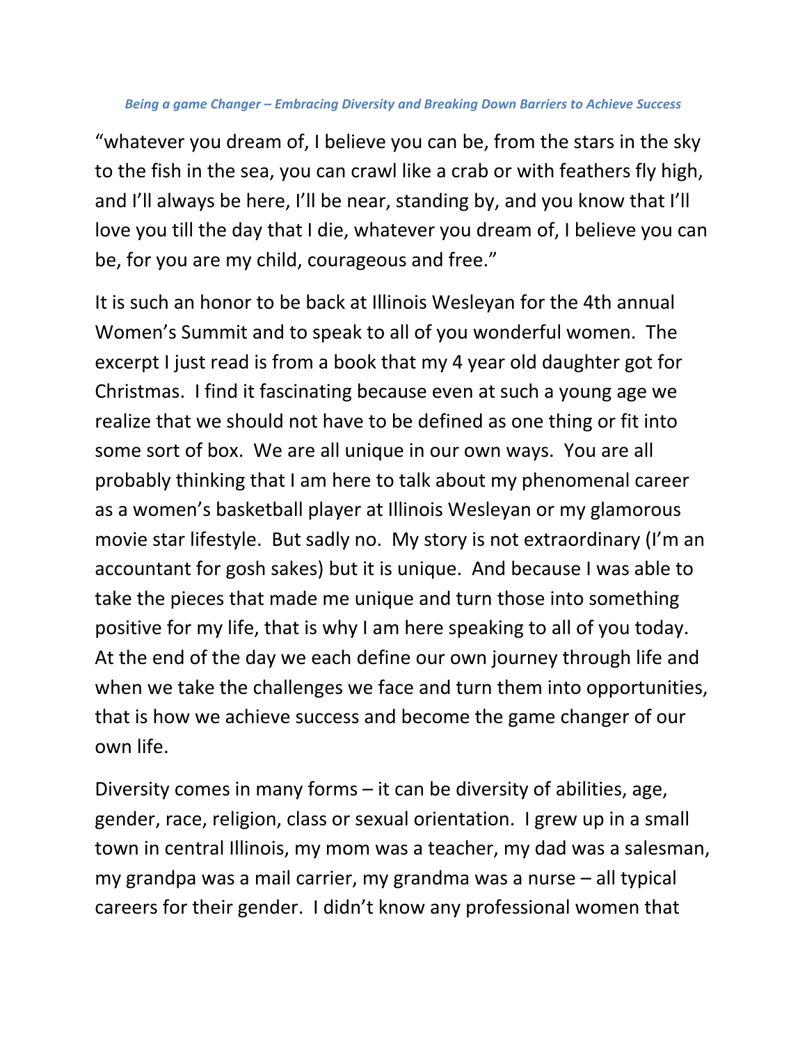## *Being a game Changer – Embracing Diversity and Breaking Down Barriers to Achieve Success*

"whatever you dream of, I believe you can be, from the stars in the sky to the fish in the sea, you can crawl like a crab or with feathers fly high, and I'll always be here, I'll be near, standing by, and you know that I'll love you till the day that I die, whatever you dream of, I believe you can be, for you are my child, courageous and free."

It is such an honor to be back at Illinois Wesleyan for the 4th annual Women's Summit and to speak to all of you wonderful women. The excerpt I just read is from a book that my 4 year old daughter got for Christmas. I find it fascinating because even at such a young age we realize that we should not have to be defined as one thing or fit into some sort of box. We are all unique in our own ways. You are all probably thinking that I am here to talk about my phenomenal career as a women's basketball player at Illinois Wesleyan or my glamorous movie star lifestyle. But sadly no. My story is not extraordinary (I'm an accountant for gosh sakes) but it is unique. And because I was able to take the pieces that made me unique and turn those into something positive for my life, that is why I am here speaking to all of you today. At the end of the day we each define our own journey through life and when we take the challenges we face and turn them into opportunities, that is how we achieve success and become the game changer of our own life.

Diversity comes in many forms – it can be diversity of abilities, age, gender, race, religion, class or sexual orientation. I grew up in a small town in central Illinois, my mom was a teacher, my dad was a salesman, my grandpa was a mail carrier, my grandma was a nurse – all typical careers for their gender. I didn't know any professional women that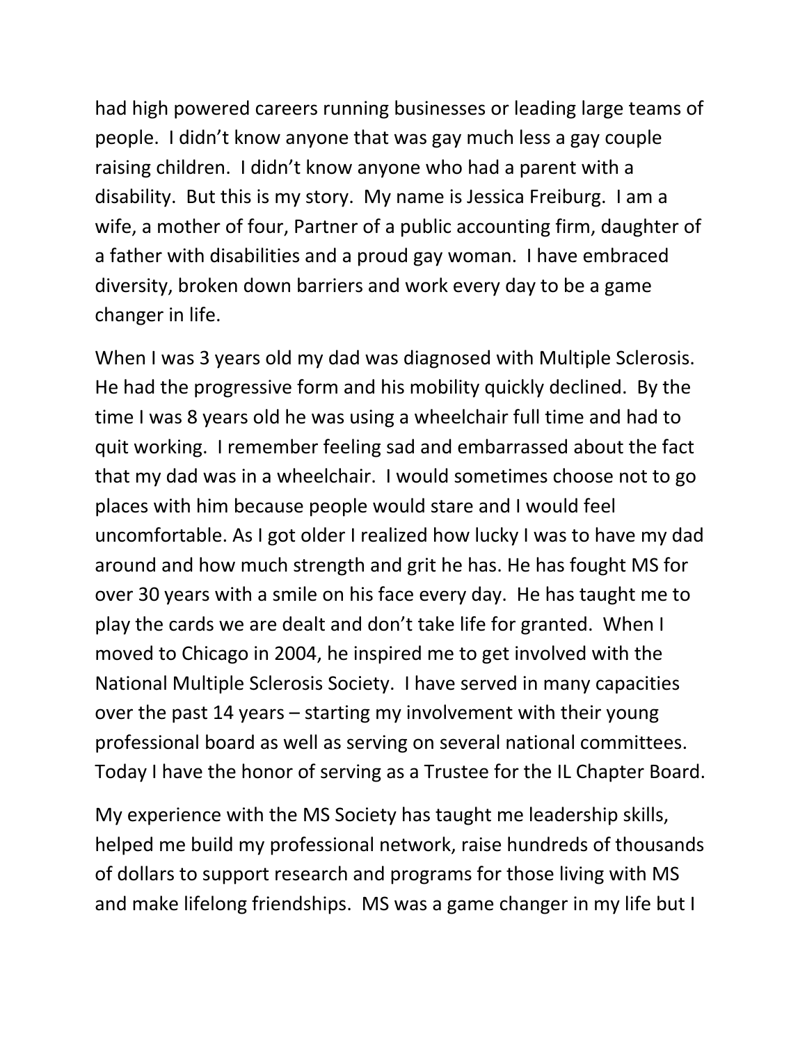had high powered careers running businesses or leading large teams of people. I didn't know anyone that was gay much less a gay couple raising children. I didn't know anyone who had a parent with a disability. But this is my story. My name is Jessica Freiburg. I am a wife, a mother of four, Partner of a public accounting firm, daughter of a father with disabilities and a proud gay woman. I have embraced diversity, broken down barriers and work every day to be a game changer in life.

When I was 3 years old my dad was diagnosed with Multiple Sclerosis. He had the progressive form and his mobility quickly declined. By the time I was 8 years old he was using a wheelchair full time and had to quit working. I remember feeling sad and embarrassed about the fact that my dad was in a wheelchair. I would sometimes choose not to go places with him because people would stare and I would feel uncomfortable. As I got older I realized how lucky I was to have my dad around and how much strength and grit he has. He has fought MS for over 30 years with a smile on his face every day. He has taught me to play the cards we are dealt and don't take life for granted. When I moved to Chicago in 2004, he inspired me to get involved with the National Multiple Sclerosis Society. I have served in many capacities over the past 14 years – starting my involvement with their young professional board as well as serving on several national committees. Today I have the honor of serving as a Trustee for the IL Chapter Board.

My experience with the MS Society has taught me leadership skills, helped me build my professional network, raise hundreds of thousands of dollars to support research and programs for those living with MS and make lifelong friendships. MS was a game changer in my life but I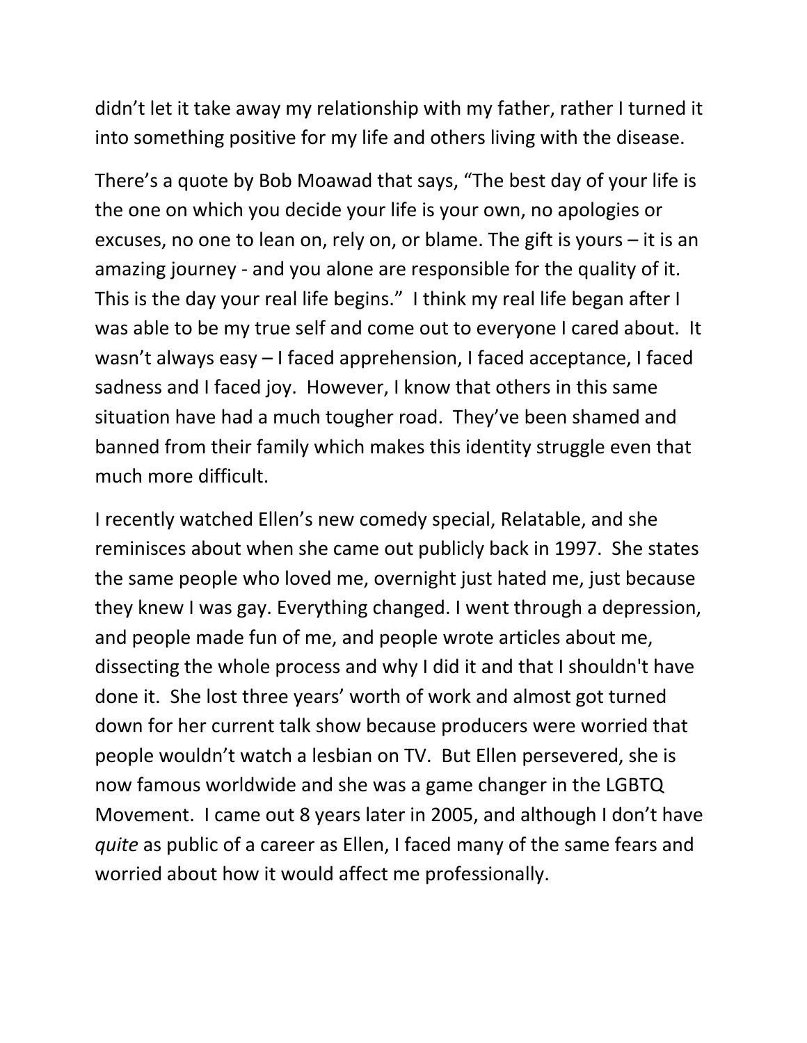didn't let it take away my relationship with my father, rather I turned it into something positive for my life and others living with the disease.

There's a quote by Bob Moawad that says, "The best day of your life is the one on which you decide your life is your own, no apologies or excuses, no one to lean on, rely on, or blame. The gift is yours – it is an amazing journey - and you alone are responsible for the quality of it. This is the day your real life begins." I think my real life began after I was able to be my true self and come out to everyone I cared about. It wasn't always easy – I faced apprehension, I faced acceptance, I faced sadness and I faced joy. However, I know that others in this same situation have had a much tougher road. They've been shamed and banned from their family which makes this identity struggle even that much more difficult.

I recently watched Ellen's new comedy special, Relatable, and she reminisces about when she came out publicly back in 1997. She states the same people who loved me, overnight just hated me, just because they knew I was gay. Everything changed. I went through a depression, and people made fun of me, and people wrote articles about me, dissecting the whole process and why I did it and that I shouldn't have done it. She lost three years' worth of work and almost got turned down for her current talk show because producers were worried that people wouldn't watch a lesbian on TV. But Ellen persevered, she is now famous worldwide and she was a game changer in the LGBTQ Movement. I came out 8 years later in 2005, and although I don't have *quite* as public of a career as Ellen, I faced many of the same fears and worried about how it would affect me professionally.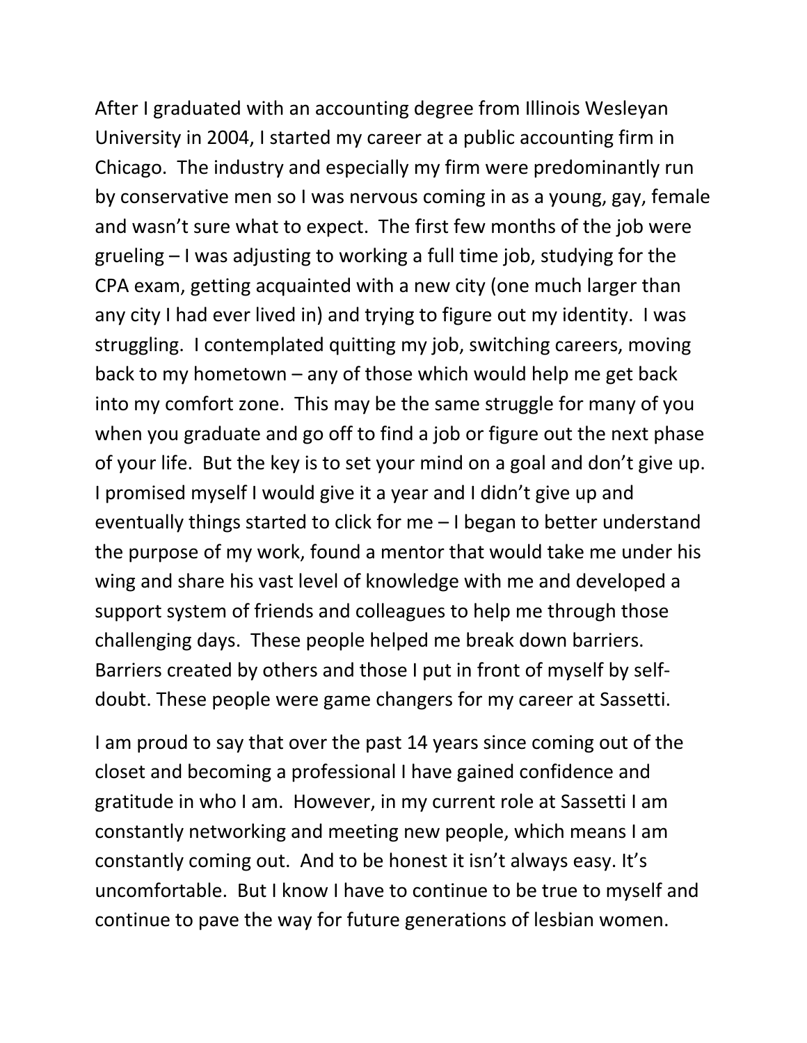After I graduated with an accounting degree from Illinois Wesleyan University in 2004, I started my career at a public accounting firm in Chicago. The industry and especially my firm were predominantly run by conservative men so I was nervous coming in as a young, gay, female and wasn't sure what to expect. The first few months of the job were grueling – I was adjusting to working a full time job, studying for the CPA exam, getting acquainted with a new city (one much larger than any city I had ever lived in) and trying to figure out my identity. I was struggling. I contemplated quitting my job, switching careers, moving back to my hometown – any of those which would help me get back into my comfort zone. This may be the same struggle for many of you when you graduate and go off to find a job or figure out the next phase of your life. But the key is to set your mind on a goal and don't give up. I promised myself I would give it a year and I didn't give up and eventually things started to click for me – I began to better understand the purpose of my work, found a mentor that would take me under his wing and share his vast level of knowledge with me and developed a support system of friends and colleagues to help me through those challenging days. These people helped me break down barriers. Barriers created by others and those I put in front of myself by selfdoubt. These people were game changers for my career at Sassetti.

I am proud to say that over the past 14 years since coming out of the closet and becoming a professional I have gained confidence and gratitude in who I am. However, in my current role at Sassetti I am constantly networking and meeting new people, which means I am constantly coming out. And to be honest it isn't always easy. It's uncomfortable. But I know I have to continue to be true to myself and continue to pave the way for future generations of lesbian women.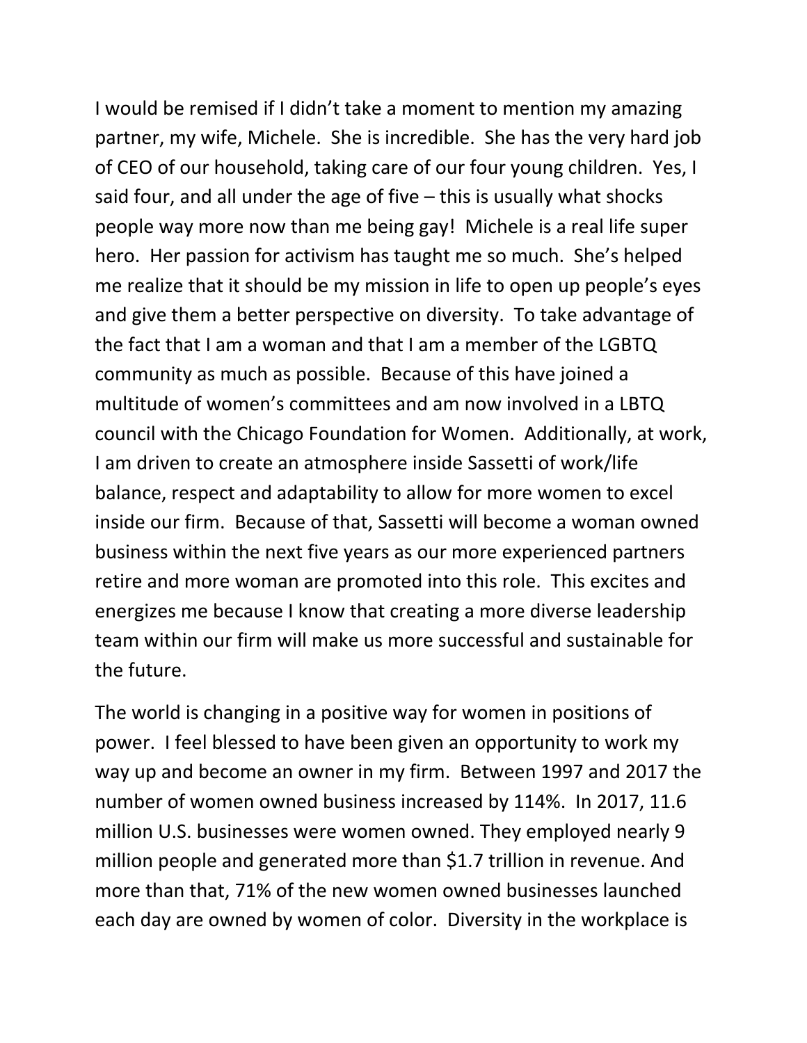I would be remised if I didn't take a moment to mention my amazing partner, my wife, Michele. She is incredible. She has the very hard job of CEO of our household, taking care of our four young children. Yes, I said four, and all under the age of five – this is usually what shocks people way more now than me being gay! Michele is a real life super hero. Her passion for activism has taught me so much. She's helped me realize that it should be my mission in life to open up people's eyes and give them a better perspective on diversity. To take advantage of the fact that I am a woman and that I am a member of the LGBTQ community as much as possible. Because of this have joined a multitude of women's committees and am now involved in a LBTQ council with the Chicago Foundation for Women. Additionally, at work, I am driven to create an atmosphere inside Sassetti of work/life balance, respect and adaptability to allow for more women to excel inside our firm. Because of that, Sassetti will become a woman owned business within the next five years as our more experienced partners retire and more woman are promoted into this role. This excites and energizes me because I know that creating a more diverse leadership team within our firm will make us more successful and sustainable for the future.

The world is changing in a positive way for women in positions of power. I feel blessed to have been given an opportunity to work my way up and become an owner in my firm. Between 1997 and 2017 the number of women owned business increased by 114%. In 2017, 11.6 million U.S. businesses were women owned. They employed nearly 9 million people and generated more than \$1.7 trillion in revenue. And more than that, 71% of the new women owned businesses launched each day are owned by women of color. Diversity in the workplace is